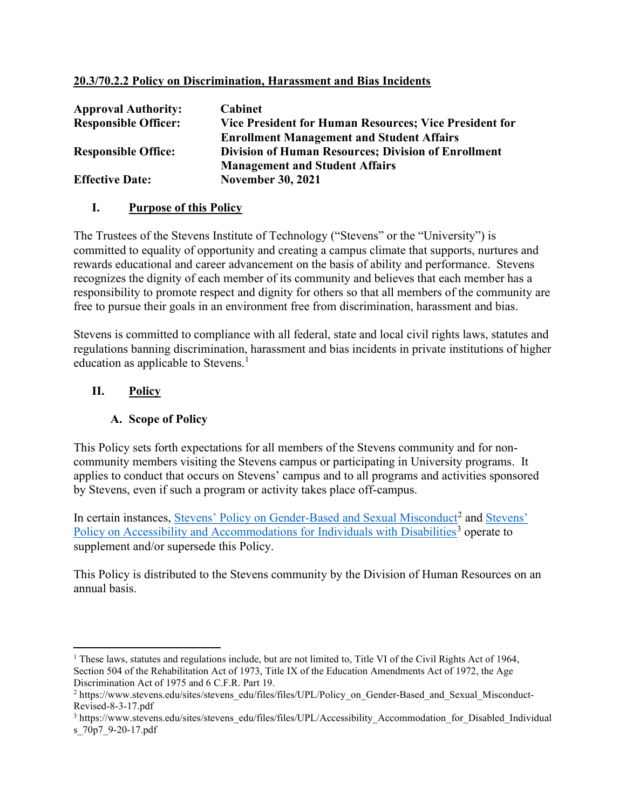#### 20.3/70.2.2 Policy on Discrimination, Harassment and Bias Incidents

| <b>Approval Authority:</b>  | <b>Cabinet</b>                                                |
|-----------------------------|---------------------------------------------------------------|
| <b>Responsible Officer:</b> | <b>Vice President for Human Resources; Vice President for</b> |
|                             | <b>Enrollment Management and Student Affairs</b>              |
| <b>Responsible Office:</b>  | <b>Division of Human Resources; Division of Enrollment</b>    |
|                             | <b>Management and Student Affairs</b>                         |
| <b>Effective Date:</b>      | <b>November 30, 2021</b>                                      |

#### I. Purpose of this Policy

The Trustees of the Stevens Institute of Technology ("Stevens" or the "University") is committed to equality of opportunity and creating a campus climate that supports, nurtures and rewards educational and career advancement on the basis of ability and performance. Stevens recognizes the dignity of each member of its community and believes that each member has a responsibility to promote respect and dignity for others so that all members of the community are free to pursue their goals in an environment free from discrimination, harassment and bias.

Stevens is committed to compliance with all federal, state and local civil rights laws, statutes and regulations banning discrimination, harassment and bias incidents in private institutions of higher education as applicable to Stevens.<sup>1</sup>

#### II. Policy

#### A. Scope of Policy

This Policy sets forth expectations for all members of the Stevens community and for noncommunity members visiting the Stevens campus or participating in University programs. It applies to conduct that occurs on Stevens' campus and to all programs and activities sponsored by Stevens, even if such a program or activity takes place off-campus.

In certain instances, Stevens' Policy on Gender-Based and Sexual Misconduct<sup>2</sup> and Stevens' Policy on Accessibility and Accommodations for Individuals with Disabilities<sup>3</sup> operate to supplement and/or supersede this Policy.

This Policy is distributed to the Stevens community by the Division of Human Resources on an annual basis.

<sup>&</sup>lt;sup>1</sup> These laws, statutes and regulations include, but are not limited to, Title VI of the Civil Rights Act of 1964, Section 504 of the Rehabilitation Act of 1973, Title IX of the Education Amendments Act of 1972, the Age Discrimination Act of 1975 and 6 C.F.R. Part 19.

<sup>&</sup>lt;sup>2</sup> https://www.stevens.edu/sites/stevens\_edu/files/files/UPL/Policy\_on\_Gender-Based\_and\_Sexual\_Misconduct-Revised-8-3-17.pdf

<sup>&</sup>lt;sup>3</sup> https://www.stevens.edu/sites/stevens\_edu/files/files/UPL/Accessibility\_Accommodation\_for\_Disabled\_Individual s\_70p7\_9-20-17.pdf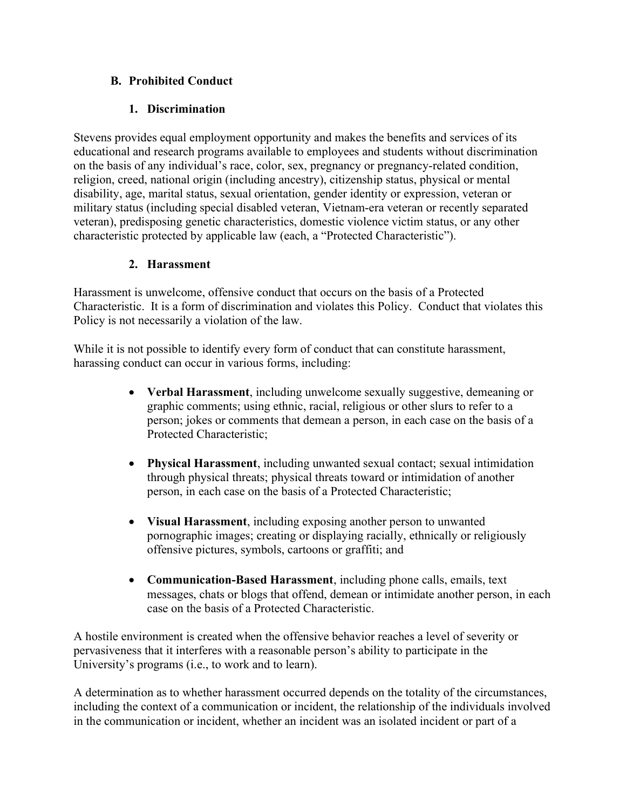## B. Prohibited Conduct

## 1. Discrimination

Stevens provides equal employment opportunity and makes the benefits and services of its educational and research programs available to employees and students without discrimination on the basis of any individual's race, color, sex, pregnancy or pregnancy-related condition, religion, creed, national origin (including ancestry), citizenship status, physical or mental disability, age, marital status, sexual orientation, gender identity or expression, veteran or military status (including special disabled veteran, Vietnam-era veteran or recently separated veteran), predisposing genetic characteristics, domestic violence victim status, or any other characteristic protected by applicable law (each, a "Protected Characteristic").

### 2. Harassment

Harassment is unwelcome, offensive conduct that occurs on the basis of a Protected Characteristic. It is a form of discrimination and violates this Policy. Conduct that violates this Policy is not necessarily a violation of the law.

While it is not possible to identify every form of conduct that can constitute harassment, harassing conduct can occur in various forms, including:

- Verbal Harassment, including unwelcome sexually suggestive, demeaning or graphic comments; using ethnic, racial, religious or other slurs to refer to a person; jokes or comments that demean a person, in each case on the basis of a Protected Characteristic;
- Physical Harassment, including unwanted sexual contact; sexual intimidation through physical threats; physical threats toward or intimidation of another person, in each case on the basis of a Protected Characteristic;
- Visual Harassment, including exposing another person to unwanted pornographic images; creating or displaying racially, ethnically or religiously offensive pictures, symbols, cartoons or graffiti; and
- Communication-Based Harassment, including phone calls, emails, text messages, chats or blogs that offend, demean or intimidate another person, in each case on the basis of a Protected Characteristic.

A hostile environment is created when the offensive behavior reaches a level of severity or pervasiveness that it interferes with a reasonable person's ability to participate in the University's programs (i.e., to work and to learn).

A determination as to whether harassment occurred depends on the totality of the circumstances, including the context of a communication or incident, the relationship of the individuals involved in the communication or incident, whether an incident was an isolated incident or part of a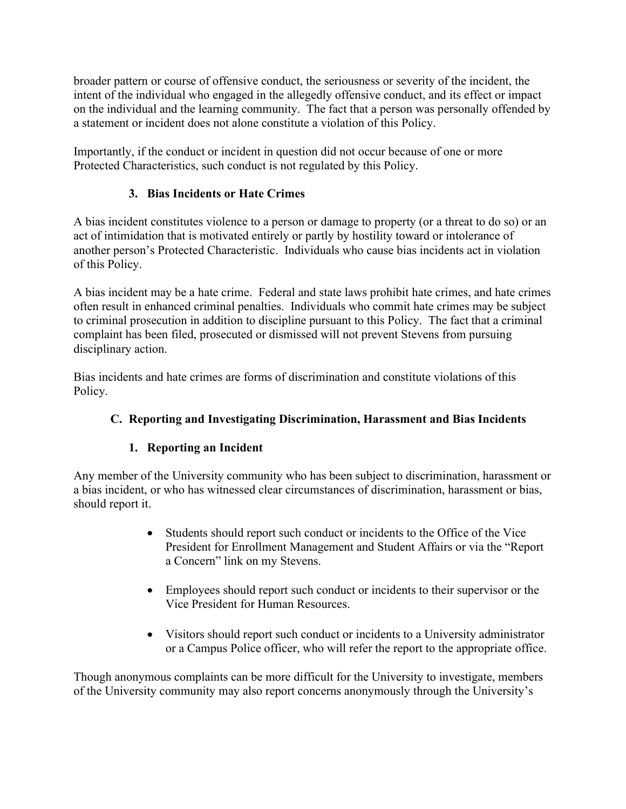broader pattern or course of offensive conduct, the seriousness or severity of the incident, the intent of the individual who engaged in the allegedly offensive conduct, and its effect or impact on the individual and the learning community. The fact that a person was personally offended by a statement or incident does not alone constitute a violation of this Policy.

Importantly, if the conduct or incident in question did not occur because of one or more Protected Characteristics, such conduct is not regulated by this Policy.

# 3. Bias Incidents or Hate Crimes

A bias incident constitutes violence to a person or damage to property (or a threat to do so) or an act of intimidation that is motivated entirely or partly by hostility toward or intolerance of another person's Protected Characteristic. Individuals who cause bias incidents act in violation of this Policy.

A bias incident may be a hate crime. Federal and state laws prohibit hate crimes, and hate crimes often result in enhanced criminal penalties. Individuals who commit hate crimes may be subject to criminal prosecution in addition to discipline pursuant to this Policy. The fact that a criminal complaint has been filed, prosecuted or dismissed will not prevent Stevens from pursuing disciplinary action.

Bias incidents and hate crimes are forms of discrimination and constitute violations of this Policy.

# C. Reporting and Investigating Discrimination, Harassment and Bias Incidents

# 1. Reporting an Incident

Any member of the University community who has been subject to discrimination, harassment or a bias incident, or who has witnessed clear circumstances of discrimination, harassment or bias, should report it.

- Students should report such conduct or incidents to the Office of the Vice President for Enrollment Management and Student Affairs or via the "Report a Concern" link on my Stevens.
- Employees should report such conduct or incidents to their supervisor or the Vice President for Human Resources.
- Visitors should report such conduct or incidents to a University administrator or a Campus Police officer, who will refer the report to the appropriate office.

Though anonymous complaints can be more difficult for the University to investigate, members of the University community may also report concerns anonymously through the University's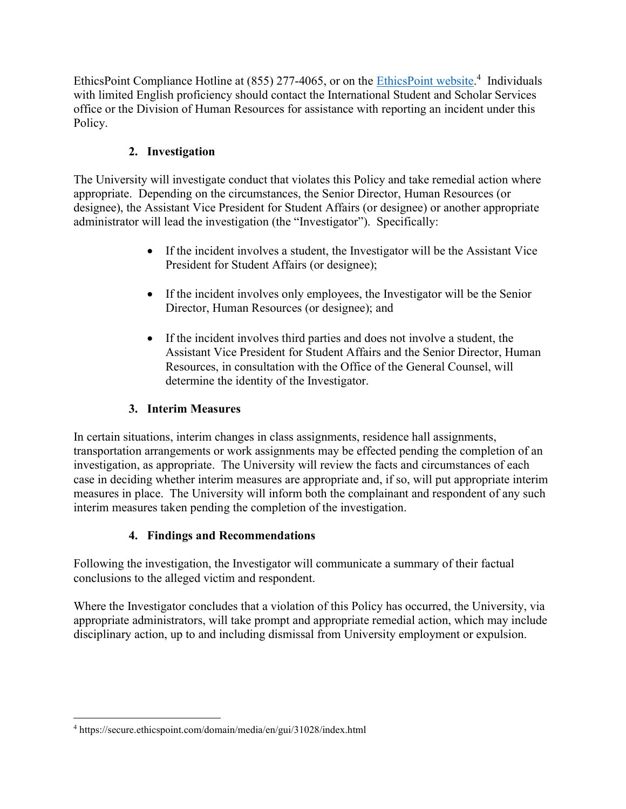EthicsPoint Compliance Hotline at (855) 277-4065, or on the *EthicsPoint website*.<sup>4</sup> Individuals with limited English proficiency should contact the International Student and Scholar Services office or the Division of Human Resources for assistance with reporting an incident under this Policy.

## 2. Investigation

The University will investigate conduct that violates this Policy and take remedial action where appropriate. Depending on the circumstances, the Senior Director, Human Resources (or designee), the Assistant Vice President for Student Affairs (or designee) or another appropriate administrator will lead the investigation (the "Investigator"). Specifically:

- If the incident involves a student, the Investigator will be the Assistant Vice President for Student Affairs (or designee);
- If the incident involves only employees, the Investigator will be the Senior Director, Human Resources (or designee); and
- If the incident involves third parties and does not involve a student, the Assistant Vice President for Student Affairs and the Senior Director, Human Resources, in consultation with the Office of the General Counsel, will determine the identity of the Investigator.

# 3. Interim Measures

In certain situations, interim changes in class assignments, residence hall assignments, transportation arrangements or work assignments may be effected pending the completion of an investigation, as appropriate. The University will review the facts and circumstances of each case in deciding whether interim measures are appropriate and, if so, will put appropriate interim measures in place. The University will inform both the complainant and respondent of any such interim measures taken pending the completion of the investigation.

## 4. Findings and Recommendations

Following the investigation, the Investigator will communicate a summary of their factual conclusions to the alleged victim and respondent.

Where the Investigator concludes that a violation of this Policy has occurred, the University, via appropriate administrators, will take prompt and appropriate remedial action, which may include disciplinary action, up to and including dismissal from University employment or expulsion.

<sup>4</sup> https://secure.ethicspoint.com/domain/media/en/gui/31028/index.html